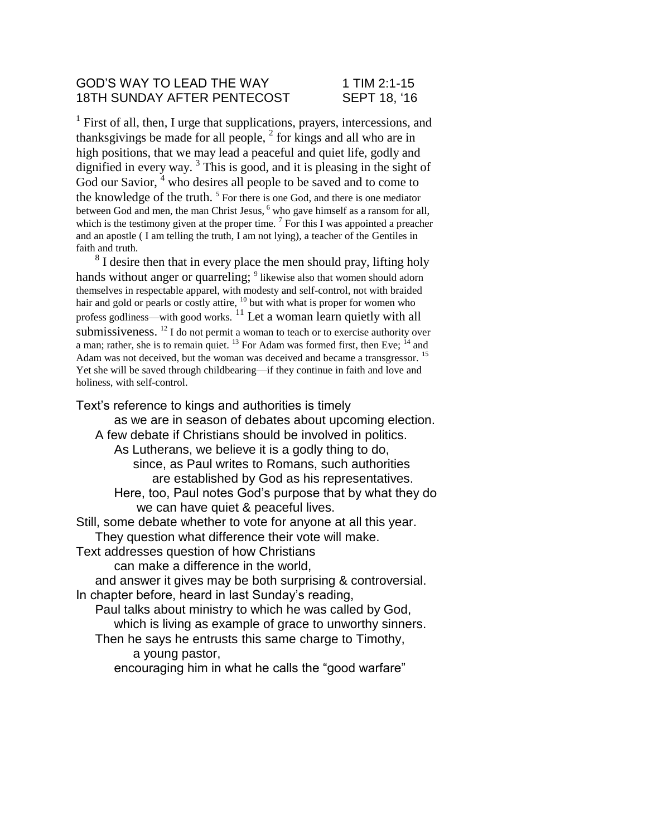## GOD'S WAY TO LEAD THE WAY 1 TIM 2:1-15 18TH SUNDAY AFTER PENTECOST SEPT 18, '16

<sup>1</sup> First of all, then, I urge that supplications, prayers, intercessions, and thanksgivings be made for all people,  $<sup>2</sup>$  for kings and all who are in</sup> high positions, that we may lead a peaceful and quiet life, godly and dignified in every way.<sup>3</sup> This is good, and it is pleasing in the sight of God our Savior, <sup>4</sup> who desires all people to be saved and to come to the knowledge of the truth.<sup>5</sup> For there is one God, and there is one mediator between God and men, the man Christ Jesus, <sup>6</sup> who gave himself as a ransom for all, which is the testimony given at the proper time.  $\frac{7}{1}$  For this I was appointed a preacher and an apostle ( I am telling the truth, I am not lying), a teacher of the Gentiles in faith and truth.

 $8<sup>8</sup>$  I desire then that in every place the men should pray, lifting holy hands without anger or quarreling; <sup>9</sup> likewise also that women should adorn themselves in respectable apparel, with modesty and self-control, not with braided hair and gold or pearls or costly attire,  $\frac{10}{10}$  but with what is proper for women who profess godliness—with good works. <sup>11</sup> Let a woman learn quietly with all submissiveness. <sup>12</sup> I do not permit a woman to teach or to exercise authority over a man; rather, she is to remain quiet.  $^{13}$  For Adam was formed first, then Eve;  $^{14}$  and Adam was not deceived, but the woman was deceived and became a transgressor.<sup>15</sup> Yet she will be saved through childbearing—if they continue in faith and love and holiness, with self-control.

Text's reference to kings and authorities is timely as we are in season of debates about upcoming election. A few debate if Christians should be involved in politics. As Lutherans, we believe it is a godly thing to do, since, as Paul writes to Romans, such authorities are established by God as his representatives. Here, too, Paul notes God's purpose that by what they do we can have quiet & peaceful lives. Still, some debate whether to vote for anyone at all this year. They question what difference their vote will make. Text addresses question of how Christians can make a difference in the world, and answer it gives may be both surprising & controversial. In chapter before, heard in last Sunday's reading, Paul talks about ministry to which he was called by God, which is living as example of grace to unworthy sinners.

Then he says he entrusts this same charge to Timothy, a young pastor,

encouraging him in what he calls the "good warfare"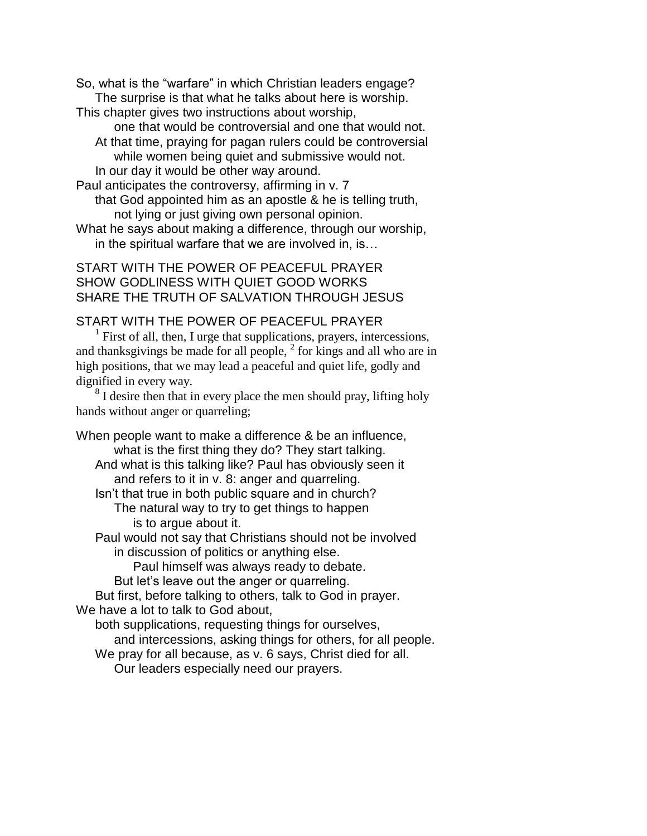So, what is the "warfare" in which Christian leaders engage? The surprise is that what he talks about here is worship.

This chapter gives two instructions about worship,

one that would be controversial and one that would not. At that time, praying for pagan rulers could be controversial while women being quiet and submissive would not. In our day it would be other way around.

Paul anticipates the controversy, affirming in v. 7 that God appointed him as an apostle & he is telling truth, not lying or just giving own personal opinion.

What he says about making a difference, through our worship, in the spiritual warfare that we are involved in, is…

START WITH THE POWER OF PEACEFUL PRAYER SHOW GODLINESS WITH QUIET GOOD WORKS SHARE THE TRUTH OF SALVATION THROUGH JESUS

## START WITH THE POWER OF PEACEFUL PRAYER

<sup>1</sup> First of all, then, I urge that supplications, prayers, intercessions, and thanksgivings be made for all people,  $2$  for kings and all who are in high positions, that we may lead a peaceful and quiet life, godly and dignified in every way.

<sup>8</sup> I desire then that in every place the men should pray, lifting holy hands without anger or quarreling;

When people want to make a difference & be an influence, what is the first thing they do? They start talking. And what is this talking like? Paul has obviously seen it and refers to it in v. 8: anger and quarreling. Isn't that true in both public square and in church? The natural way to try to get things to happen is to argue about it. Paul would not say that Christians should not be involved in discussion of politics or anything else. Paul himself was always ready to debate. But let's leave out the anger or quarreling. But first, before talking to others, talk to God in prayer. We have a lot to talk to God about, both supplications, requesting things for ourselves, and intercessions, asking things for others, for all people. We pray for all because, as v. 6 says, Christ died for all. Our leaders especially need our prayers.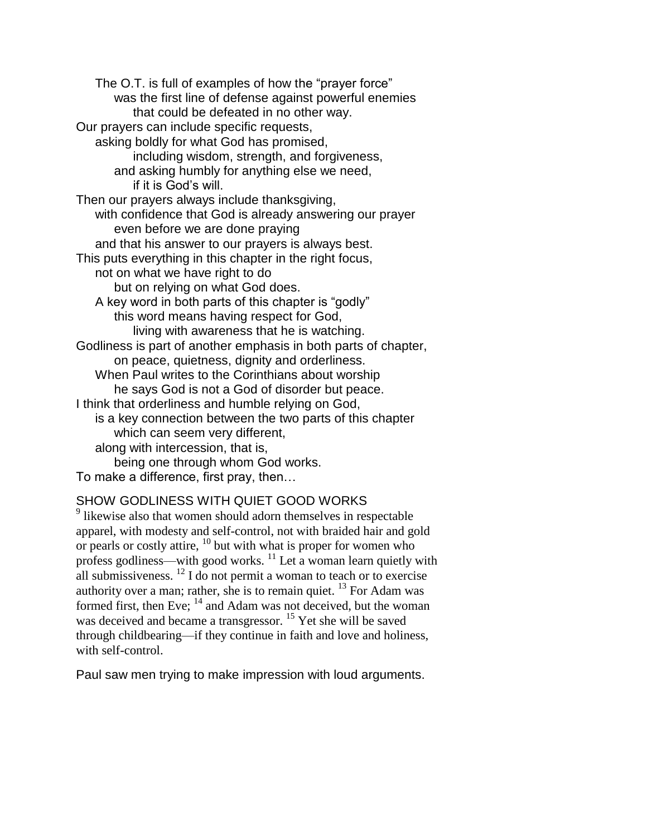The O.T. is full of examples of how the "prayer force" was the first line of defense against powerful enemies that could be defeated in no other way. Our prayers can include specific requests, asking boldly for what God has promised, including wisdom, strength, and forgiveness, and asking humbly for anything else we need, if it is God's will. Then our prayers always include thanksgiving, with confidence that God is already answering our prayer even before we are done praying and that his answer to our prayers is always best. This puts everything in this chapter in the right focus, not on what we have right to do but on relying on what God does. A key word in both parts of this chapter is "godly" this word means having respect for God, living with awareness that he is watching. Godliness is part of another emphasis in both parts of chapter, on peace, quietness, dignity and orderliness. When Paul writes to the Corinthians about worship he says God is not a God of disorder but peace. I think that orderliness and humble relying on God, is a key connection between the two parts of this chapter which can seem very different, along with intercession, that is, being one through whom God works. To make a difference, first pray, then…

## SHOW GODLINESS WITH QUIET GOOD WORKS

<sup>9</sup> likewise also that women should adorn themselves in respectable apparel, with modesty and self-control, not with braided hair and gold or pearls or costly attire,  $^{10}$  but with what is proper for women who profess godliness—with good works.<sup>11</sup> Let a woman learn quietly with all submissiveness.  $^{12}$  I do not permit a woman to teach or to exercise authority over a man; rather, she is to remain quiet. <sup>13</sup> For Adam was formed first, then Eve; <sup>14</sup> and Adam was not deceived, but the woman was deceived and became a transgressor.<sup>15</sup> Yet she will be saved through childbearing—if they continue in faith and love and holiness, with self-control.

Paul saw men trying to make impression with loud arguments.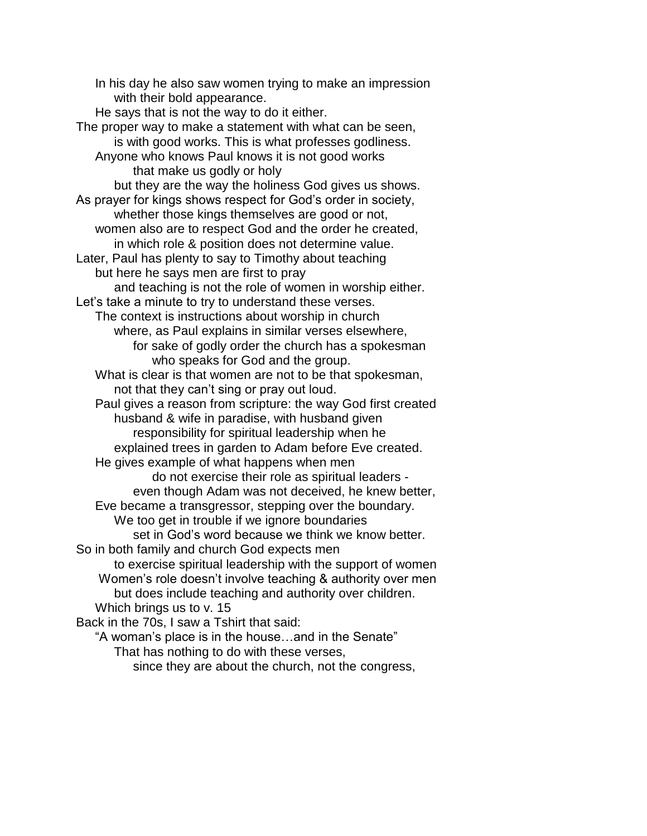In his day he also saw women trying to make an impression with their bold appearance. He says that is not the way to do it either. The proper way to make a statement with what can be seen, is with good works. This is what professes godliness. Anyone who knows Paul knows it is not good works that make us godly or holy but they are the way the holiness God gives us shows. As prayer for kings shows respect for God's order in society, whether those kings themselves are good or not, women also are to respect God and the order he created, in which role & position does not determine value. Later, Paul has plenty to say to Timothy about teaching but here he says men are first to pray and teaching is not the role of women in worship either. Let's take a minute to try to understand these verses. The context is instructions about worship in church where, as Paul explains in similar verses elsewhere, for sake of godly order the church has a spokesman who speaks for God and the group. What is clear is that women are not to be that spokesman, not that they can't sing or pray out loud. Paul gives a reason from scripture: the way God first created husband & wife in paradise, with husband given responsibility for spiritual leadership when he explained trees in garden to Adam before Eve created. He gives example of what happens when men do not exercise their role as spiritual leaders even though Adam was not deceived, he knew better, Eve became a transgressor, stepping over the boundary. We too get in trouble if we ignore boundaries set in God's word because we think we know better. So in both family and church God expects men to exercise spiritual leadership with the support of women Women's role doesn't involve teaching & authority over men but does include teaching and authority over children. Which brings us to v. 15 Back in the 70s, I saw a Tshirt that said: "A woman's place is in the house…and in the Senate" That has nothing to do with these verses,

since they are about the church, not the congress,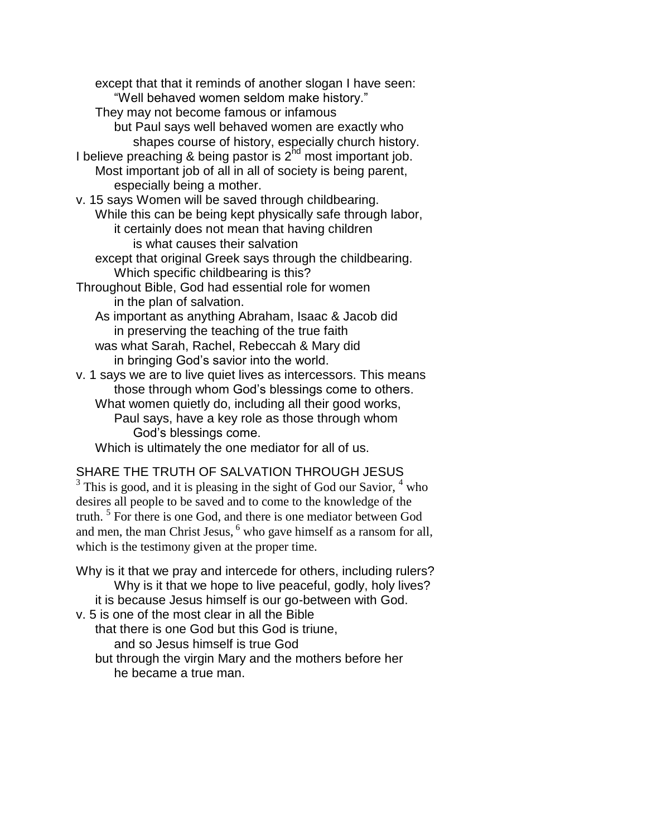except that that it reminds of another slogan I have seen: "Well behaved women seldom make history." They may not become famous or infamous but Paul says well behaved women are exactly who shapes course of history, especially church history. I believe preaching & being pastor is  $2^{nd}$  most important job. Most important job of all in all of society is being parent, especially being a mother. v. 15 says Women will be saved through childbearing. While this can be being kept physically safe through labor, it certainly does not mean that having children is what causes their salvation except that original Greek says through the childbearing. Which specific childbearing is this? Throughout Bible, God had essential role for women in the plan of salvation. As important as anything Abraham, Isaac & Jacob did in preserving the teaching of the true faith was what Sarah, Rachel, Rebeccah & Mary did in bringing God's savior into the world. v. 1 says we are to live quiet lives as intercessors. This means those through whom God's blessings come to others. What women quietly do, including all their good works, Paul says, have a key role as those through whom God's blessings come. Which is ultimately the one mediator for all of us.

## SHARE THE TRUTH OF SALVATION THROUGH JESUS

 $3$  This is good, and it is pleasing in the sight of God our Savior,  $4$  who desires all people to be saved and to come to the knowledge of the truth.<sup>5</sup> For there is one God, and there is one mediator between God and men, the man Christ Jesus, <sup>6</sup> who gave himself as a ransom for all, which is the testimony given at the proper time.

Why is it that we pray and intercede for others, including rulers? Why is it that we hope to live peaceful, godly, holy lives? it is because Jesus himself is our go-between with God. v. 5 is one of the most clear in all the Bible that there is one God but this God is triune, and so Jesus himself is true God but through the virgin Mary and the mothers before her he became a true man.